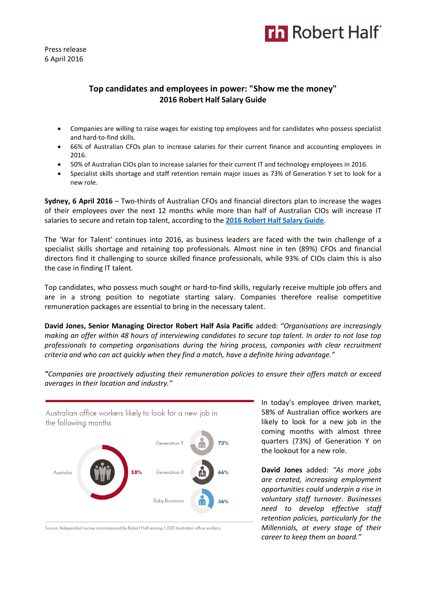

Press release 6 April 2016

# **Top candidates and employees in power: "Show me the money" 2016 Robert Half Salary Guide**

- Companies are willing to raise wages for existing top employees and for candidates who possess specialist and hard-to-find skills.
- 66% of Australian CFOs plan to increase salaries for their current finance and accounting employees in 2016.
- 50% of Australian CIOs plan to increase salaries for their current IT and technology employees in 2016.
- Specialist skills shortage and staff retention remain major issues as 73% of Generation Y set to look for a new role.

**Sydney, 6 April 2016** – Two-thirds of Australian CFOs and financial directors plan to increase the wages of their employees over the next 12 months while more than half of Australian CIOs will increase IT salaries to secure and retain top talent, according to the **[2016 Robert Half Salary Guide](http://www.roberthalf.com.au/salary-guides?utm_source=pressrelease&utm_medium=referral&utm_campaign=salaryguide)**.

The 'War for Talent' continues into 2016, as business leaders are faced with the twin challenge of a specialist skills shortage and retaining top professionals. Almost nine in ten (89%) CFOs and financial directors find it challenging to source skilled finance professionals, while 93% of CIOs claim this is also the case in finding IT talent.

Top candidates, who possess much sought or hard-to-find skills, regularly receive multiple job offers and are in a strong position to negotiate starting salary. Companies therefore realise competitive remuneration packages are essential to bring in the necessary talent.

**David Jones, Senior Managing Director Robert Half Asia Pacific** added: *"Organisations are increasingly making an offer within 48 hours of interviewing candidates to secure top talent. In order to not lose top professionals to competing organisations during the hiring process, companies with clear recruitment criteria and who can act quickly when they find a match, have a definite hiring advantage."*

*"Companies are proactively adjusting their remuneration policies to ensure their offers match or exceed averages in their location and industry."*



Source: Independent survey commissioned by Robert Half among 1,000 Australian office workers.

In today's employee driven market, 58% of Australian office workers are likely to look for a new job in the coming months with almost three quarters (73%) of Generation Y on the lookout for a new role.

**David Jones** added: *"As more jobs are created, increasing employment opportunities could underpin a rise in voluntary staff turnover. Businesses need to develop effective staff retention policies, particularly for the Millennials, at every stage of their career to keep them on board."*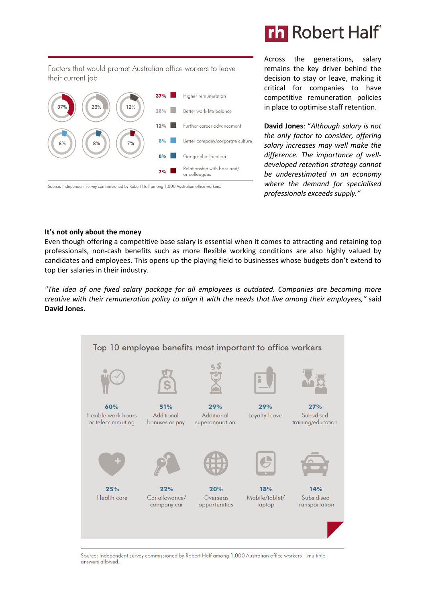

Factors that would prompt Australian office workers to leave their current job



Source: Independent survey commissioned by Robert Half among 1,000 Australian office workers.

Across the generations, salary remains the key driver behind the decision to stay or leave, making it critical for companies to have competitive remuneration policies in place to optimise staff retention.

**David Jones**: "*Although salary is not the only factor to consider, offering salary increases may well make the difference. The importance of welldeveloped retention strategy cannot be underestimated in an economy where the demand for specialised professionals exceeds supply."*

#### **It's not only about the money**

Even though offering a competitive base salary is essential when it comes to attracting and retaining top professionals, non-cash benefits such as more flexible working conditions are also highly valued by candidates and employees. This opens up the playing field to businesses whose budgets don't extend to top tier salaries in their industry.

*"The idea of one fixed salary package for all employees is outdated. Companies are becoming more creative with their remuneration policy to align it with the needs that live among their employees,"* said **David Jones**.



Source: Independent survey commissioned by Robert Half among 1,000 Australian office workers - multiple answers allowed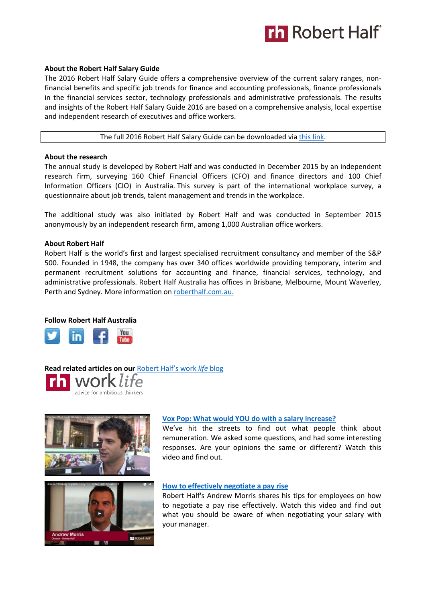

## **About the Robert Half Salary Guide**

The 2016 Robert Half Salary Guide offers a comprehensive overview of the current salary ranges, nonfinancial benefits and specific job trends for finance and accounting professionals, finance professionals in the financial services sector, technology professionals and administrative professionals. The results and insights of the Robert Half Salary Guide 2016 are based on a comprehensive analysis, local expertise and independent research of executives and office workers.

The full 2016 Robert Half Salary Guide can be downloaded via [this link.](http://www.roberthalf.com.au/salary-guides?utm_source=pressrelease&utm_medium=referral&utm_campaign=salaryguide)

## **About the research**

The annual study is developed by Robert Half and was conducted in December 2015 by an independent research firm, surveying 160 Chief Financial Officers (CFO) and finance directors and 100 Chief Information Officers (CIO) in Australia. This survey is part of the international workplace survey, a questionnaire about job trends, talent management and trends in the workplace.

The additional study was also initiated by Robert Half and was conducted in September 2015 anonymously by an independent research firm, among 1,000 Australian office workers.

## **About Robert Half**

Robert Half is the world's first and largest specialised recruitment consultancy and member of the S&P 500. Founded in 1948, the company has over 340 offices worldwide providing temporary, interim and permanent recruitment solutions for accounting and finance, financial services, technology, and administrative professionals. Robert Half Australia has offices in Brisbane, Melbourne, Mount Waverley, Perth and Sydney. More information on roberthalf.com.au.

### **Follow Robert Half Australia**



**Read related articles on our** [Robert Half's work](https://www.roberthalf.com.au/blog?&utm_source=prmedia&utm_medium=publishing) *life* blog work life advice for ambitious thinkers





### **[Vox Pop: What would YOU do with a salary increase?](https://www.roberthalf.com.au/blog/vox-pop-what-would-you-do-salary-increase?&utm_source=prmedia&utm_medium=publishing)**

We've hit the streets to find out what people think about remuneration. We asked some questions, and had some interesting responses. Are your opinions the same or different? Watch this video and find out.

### **[How to effectively negotiate a pay rise](https://www.roberthalf.com.au/blog/how-effectively-negotiate-pay-rise?&utm_source=prmedia&utm_medium=publishing)**

Robert Half's Andrew Morris shares his tips for employees on how to negotiate a pay rise effectively. Watch this video and find out what you should be aware of when negotiating your salary with your manager.